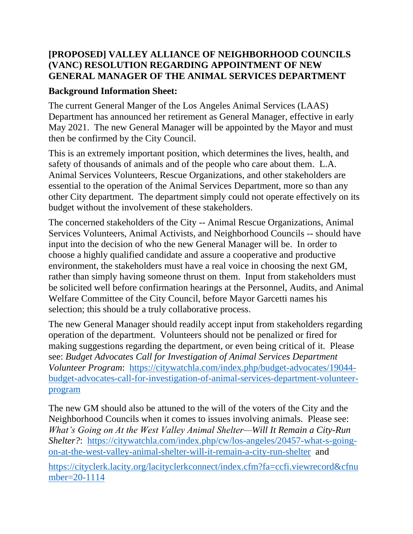## **[PROPOSED] VALLEY ALLIANCE OF NEIGHBORHOOD COUNCILS (VANC) RESOLUTION REGARDING APPOINTMENT OF NEW GENERAL MANAGER OF THE ANIMAL SERVICES DEPARTMENT**

## **Background Information Sheet:**

The current General Manger of the Los Angeles Animal Services (LAAS) Department has announced her retirement as General Manager, effective in early May 2021. The new General Manager will be appointed by the Mayor and must then be confirmed by the City Council.

This is an extremely important position, which determines the lives, health, and safety of thousands of animals and of the people who care about them. L.A. Animal Services Volunteers, Rescue Organizations, and other stakeholders are essential to the operation of the Animal Services Department, more so than any other City department. The department simply could not operate effectively on its budget without the involvement of these stakeholders.

The concerned stakeholders of the City -- Animal Rescue Organizations, Animal Services Volunteers, Animal Activists, and Neighborhood Councils -- should have input into the decision of who the new General Manager will be. In order to choose a highly qualified candidate and assure a cooperative and productive environment, the stakeholders must have a real voice in choosing the next GM, rather than simply having someone thrust on them. Input from stakeholders must be solicited well before confirmation hearings at the Personnel, Audits, and Animal Welfare Committee of the City Council, before Mayor Garcetti names his selection; this should be a truly collaborative process.

The new General Manager should readily accept input from stakeholders regarding operation of the department. Volunteers should not be penalized or fired for making suggestions regarding the department, or even being critical of it. Please see: *Budget Advocates Call for Investigation of Animal Services Department Volunteer Program*: [https://citywatchla.com/index.php/budget-advocates/19044](https://citywatchla.com/index.php/budget-advocates/19044-budget-advocates-call-for-investigation-of-animal-services-department-volunteer-program) [budget-advocates-call-for-investigation-of-animal-services-department-volunteer](https://citywatchla.com/index.php/budget-advocates/19044-budget-advocates-call-for-investigation-of-animal-services-department-volunteer-program)[program](https://citywatchla.com/index.php/budget-advocates/19044-budget-advocates-call-for-investigation-of-animal-services-department-volunteer-program)

The new GM should also be attuned to the will of the voters of the City and the Neighborhood Councils when it comes to issues involving animals. Please see: *What's Going on At the West Valley Animal Shelter—Will It Remain a City-Run Shelter?*: [https://citywatchla.com/index.php/cw/los-angeles/20457-what-s-going](https://citywatchla.com/index.php/cw/los-angeles/20457-what-s-going-on-at-the-west-valley-animal-shelter-will-it-remain-a-city-run-shelter)[on-at-the-west-valley-animal-shelter-will-it-remain-a-city-run-shelter](https://citywatchla.com/index.php/cw/los-angeles/20457-what-s-going-on-at-the-west-valley-animal-shelter-will-it-remain-a-city-run-shelter) and

[https://cityclerk.lacity.org/lacityclerkconnect/index.cfm?fa=ccfi.viewrecord&cfnu](https://cityclerk.lacity.org/lacityclerkconnect/index.cfm?fa=ccfi.viewrecord&cfnumber=20-1114) [mber=20-1114](https://cityclerk.lacity.org/lacityclerkconnect/index.cfm?fa=ccfi.viewrecord&cfnumber=20-1114)